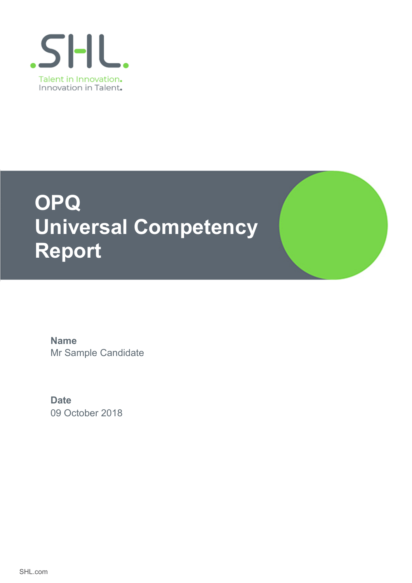

# **OPQ Universal Competency Report**

Mr Sample Candidate **Name**

09 October 2018 **Date**

SHL.com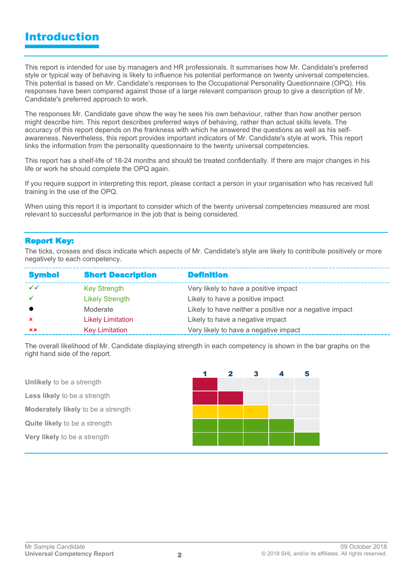### Introduction

This report is intended for use by managers and HR professionals. It summarises how Mr. Candidate's preferred style or typical way of behaving is likely to influence his potential performance on twenty universal competencies. This potential is based on Mr. Candidate's responses to the Occupational Personality Questionnaire (OPQ). His responses have been compared against those of a large relevant comparison group to give a description of Mr. Candidate's preferred approach to work.

The responses Mr. Candidate gave show the way he sees his own behaviour, rather than how another person might describe him. This report describes preferred ways of behaving, rather than actual skills levels. The accuracy of this report depends on the frankness with which he answered the questions as well as his selfawareness. Nevertheless, this report provides important indicators of Mr. Candidate's style at work. This report links the information from the personality questionnaire to the twenty universal competencies.

This report has a shelf-life of 18-24 months and should be treated confidentially. If there are major changes in his life or work he should complete the OPQ again.

If you require support in interpreting this report, please contact a person in your organisation who has received full training in the use of the OPQ.

When using this report it is important to consider which of the twenty universal competencies measured are most relevant to successful performance in the job that is being considered.

#### **Report Key:**

The ticks, crosses and discs indicate which aspects of Mr. Candidate's style are likely to contribute positively or more negatively to each competency.

| <b>Symbol</b>             | <b>Short Description</b> | <b>Definition</b>                                       |
|---------------------------|--------------------------|---------------------------------------------------------|
| $\checkmark$              | <b>Key Strength</b>      | Very likely to have a positive impact                   |
|                           | <b>Likely Strength</b>   | Likely to have a positive impact                        |
|                           | Moderate                 | Likely to have neither a positive nor a negative impact |
| $\boldsymbol{\mathsf{x}}$ | <b>Likely Limitation</b> | Likely to have a negative impact                        |
| xx                        | <b>Key Limitation</b>    | Very likely to have a negative impact                   |

The overall likelihood of Mr. Candidate displaying strength in each competency is shown in the bar graphs on the right hand side of the report.

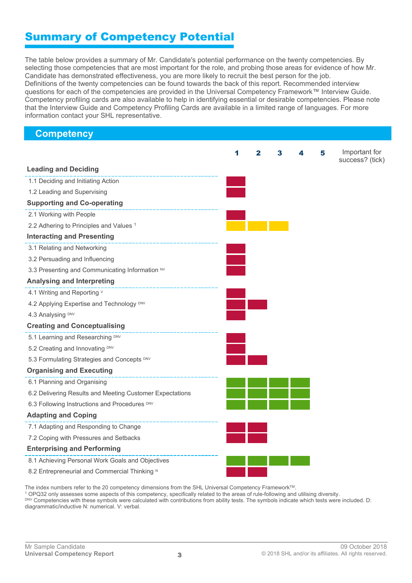### Summary of Competency Potential

The table below provides a summary of Mr. Candidate's potential performance on the twenty competencies. By selecting those competencies that are most important for the role, and probing those areas for evidence of how Mr. Candidate has demonstrated effectiveness, you are more likely to recruit the best person for the job. Definitions of the twenty competencies can be found towards the back of this report. Recommended interview questions for each of the competencies are provided in the Universal Competency Framework™ Interview Guide. Competency profiling cards are also available to help in identifying essential or desirable competencies. Please note that the Interview Guide and Competency Profiling Cards are available in a limited range of languages. For more information contact your SHL representative.

| <b>Competency</b>                                        |   |              |   |   |   |                 |
|----------------------------------------------------------|---|--------------|---|---|---|-----------------|
|                                                          | 1 | $\mathbf{2}$ | 3 | 4 | 5 | Important for   |
|                                                          |   |              |   |   |   | success? (tick) |
| <b>Leading and Deciding</b>                              |   |              |   |   |   |                 |
| 1.1 Deciding and Initiating Action                       |   |              |   |   |   |                 |
| 1.2 Leading and Supervising                              |   |              |   |   |   |                 |
| <b>Supporting and Co-operating</b>                       |   |              |   |   |   |                 |
| 2.1 Working with People                                  |   |              |   |   |   |                 |
| 2.2 Adhering to Principles and Values <sup>1</sup>       |   |              |   |   |   |                 |
| <b>Interacting and Presenting</b>                        |   |              |   |   |   |                 |
| 3.1 Relating and Networking                              |   |              |   |   |   |                 |
| 3.2 Persuading and Influencing                           |   |              |   |   |   |                 |
| 3.3 Presenting and Communicating Information NV          |   |              |   |   |   |                 |
| <b>Analysing and Interpreting</b>                        |   |              |   |   |   |                 |
| 4.1 Writing and Reporting v                              |   |              |   |   |   |                 |
| 4.2 Applying Expertise and Technology DNV                |   |              |   |   |   |                 |
| 4.3 Analysing DNV                                        |   |              |   |   |   |                 |
| <b>Creating and Conceptualising</b>                      |   |              |   |   |   |                 |
| 5.1 Learning and Researching DNV                         |   |              |   |   |   |                 |
| 5.2 Creating and Innovating DNV                          |   |              |   |   |   |                 |
| 5.3 Formulating Strategies and Concepts DNV              |   |              |   |   |   |                 |
| <b>Organising and Executing</b>                          |   |              |   |   |   |                 |
| 6.1 Planning and Organising                              |   |              |   |   |   |                 |
| 6.2 Delivering Results and Meeting Customer Expectations |   |              |   |   |   |                 |
| 6.3 Following Instructions and Procedures DNV            |   |              |   |   |   |                 |
| <b>Adapting and Coping</b>                               |   |              |   |   |   |                 |
| 7.1 Adapting and Responding to Change                    |   |              |   |   |   |                 |
| 7.2 Coping with Pressures and Setbacks                   |   |              |   |   |   |                 |
| <b>Enterprising and Performing</b>                       |   |              |   |   |   |                 |
| 8.1 Achieving Personal Work Goals and Objectives         |   |              |   |   |   |                 |
| 8.2 Entrepreneurial and Commercial Thinking N            |   |              |   |   |   |                 |

The index numbers refer to the 20 competency dimensions from the SHL Universal Competency Framework™.

<sup>1</sup> OPQ32 only assesses some aspects of this competency, specifically related to the areas of rule-following and utilising diversity. DNV Competencies with these symbols were calculated with contributions from ability tests. The symbols indicate which tests were included. D: diagrammatic/inductive N: numerical. V: verbal.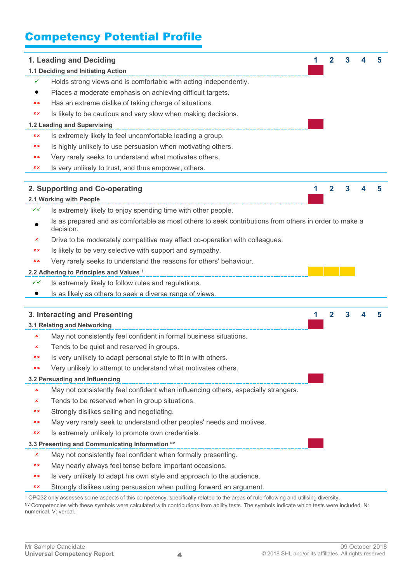# Competency Potential Profile

|           | 1. Leading and Deciding                                                                                            | 1 | 2              | 3 | 5 |
|-----------|--------------------------------------------------------------------------------------------------------------------|---|----------------|---|---|
|           | 1.1 Deciding and Initiating Action                                                                                 |   |                |   |   |
| ✓         | Holds strong views and is comfortable with acting independently.                                                   |   |                |   |   |
| $\bullet$ | Places a moderate emphasis on achieving difficult targets.                                                         |   |                |   |   |
| хx        | Has an extreme dislike of taking charge of situations.                                                             |   |                |   |   |
| хx        | Is likely to be cautious and very slow when making decisions.                                                      |   |                |   |   |
|           | 1.2 Leading and Supervising                                                                                        |   |                |   |   |
| ××        | Is extremely likely to feel uncomfortable leading a group.                                                         |   |                |   |   |
| xx        | Is highly unlikely to use persuasion when motivating others.                                                       |   |                |   |   |
| хx        | Very rarely seeks to understand what motivates others.                                                             |   |                |   |   |
| ××        | Is very unlikely to trust, and thus empower, others.                                                               |   |                |   |   |
|           |                                                                                                                    |   |                |   |   |
|           | 2. Supporting and Co-operating<br>2.1 Working with People                                                          | 1 | $\overline{2}$ | 3 |   |
| ✓✓        | Is extremely likely to enjoy spending time with other people.                                                      |   |                |   |   |
|           | Is as prepared and as comfortable as most others to seek contributions from others in order to make a<br>decision. |   |                |   |   |
| ×         | Drive to be moderately competitive may affect co-operation with colleagues.                                        |   |                |   |   |
| ××        | Is likely to be very selective with support and sympathy.                                                          |   |                |   |   |
| хx        | Very rarely seeks to understand the reasons for others' behaviour.                                                 |   |                |   |   |
|           | 2.2 Adhering to Principles and Values <sup>1</sup>                                                                 |   |                |   |   |
| ✓✓        | Is extremely likely to follow rules and regulations.                                                               |   |                |   |   |
|           | Is as likely as others to seek a diverse range of views.                                                           |   |                |   |   |
|           |                                                                                                                    |   |                |   |   |
|           | 3. Interacting and Presenting                                                                                      | 1 | $\overline{2}$ | 3 | 5 |
|           | 3.1 Relating and Networking                                                                                        |   |                |   |   |
| ×         | May not consistently feel confident in formal business situations.                                                 |   |                |   |   |
| ×         | Tends to be quiet and reserved in groups.                                                                          |   |                |   |   |
|           | Is very unlikely to adapt personal style to fit in with others.                                                    |   |                |   |   |
| хx        | Very unlikely to attempt to understand what motivates others.                                                      |   |                |   |   |
|           | 3.2 Persuading and Influencing                                                                                     |   |                |   |   |
| ×         | May not consistently feel confident when influencing others, especially strangers.                                 |   |                |   |   |
| ×         | Tends to be reserved when in group situations.                                                                     |   |                |   |   |
| ××        | Strongly dislikes selling and negotiating.                                                                         |   |                |   |   |
| ××        | May very rarely seek to understand other peoples' needs and motives.                                               |   |                |   |   |
| хx        | Is extremely unlikely to promote own credentials.                                                                  |   |                |   |   |
|           | 3.3 Presenting and Communicating Information NV                                                                    |   |                |   |   |
| ×         | May not consistently feel confident when formally presenting.                                                      |   |                |   |   |
| хx        | May nearly always feel tense before important occasions.                                                           |   |                |   |   |
| ××        | Is very unlikely to adapt his own style and approach to the audience.                                              |   |                |   |   |
| ××        | Strongly dislikes using persuasion when putting forward an argument.                                               |   |                |   |   |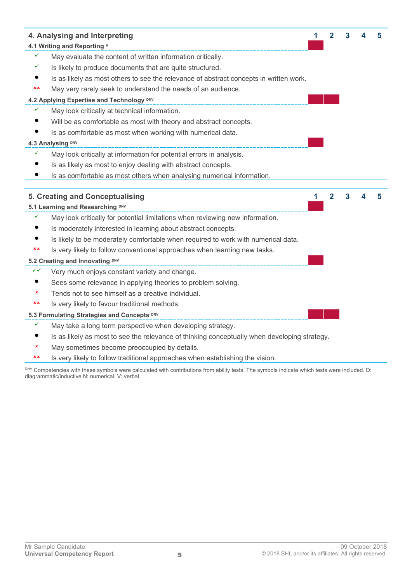| 4. Analysing and Interpreting |                                                                                              |   | 2 | 3 |  |
|-------------------------------|----------------------------------------------------------------------------------------------|---|---|---|--|
| 4.1 Writing and Reporting v   |                                                                                              |   |   |   |  |
|                               | May evaluate the content of written information critically.                                  |   |   |   |  |
|                               | Is likely to produce documents that are quite structured.                                    |   |   |   |  |
|                               | Is as likely as most others to see the relevance of abstract concepts in written work.       |   |   |   |  |
| ××                            | May very rarely seek to understand the needs of an audience.                                 |   |   |   |  |
|                               | 4.2 Applying Expertise and Technology <sup>DNV</sup>                                         |   |   |   |  |
|                               | May look critically at technical information.                                                |   |   |   |  |
|                               | Will be as comfortable as most with theory and abstract concepts.                            |   |   |   |  |
|                               | Is as comfortable as most when working with numerical data.                                  |   |   |   |  |
|                               | 4.3 Analysing DNV                                                                            |   |   |   |  |
|                               | May look critically at information for potential errors in analysis.                         |   |   |   |  |
|                               | Is as likely as most to enjoy dealing with abstract concepts.                                |   |   |   |  |
|                               | Is as comfortable as most others when analysing numerical information.                       |   |   |   |  |
|                               |                                                                                              |   |   |   |  |
|                               |                                                                                              |   |   |   |  |
|                               | 5. Creating and Conceptualising                                                              | 1 | 2 | 3 |  |
|                               | 5.1 Learning and Researching DNV                                                             |   |   |   |  |
| ✓                             | May look critically for potential limitations when reviewing new information.                |   |   |   |  |
|                               | Is moderately interested in learning about abstract concepts.                                |   |   |   |  |
|                               | Is likely to be moderately comfortable when required to work with numerical data.            |   |   |   |  |
| ××                            | Is very likely to follow conventional approaches when learning new tasks.                    |   |   |   |  |
|                               | 5.2 Creating and Innovating DNV                                                              |   |   |   |  |
| ✓✓                            | Very much enjoys constant variety and change.                                                |   |   |   |  |
| $\bullet$                     | Sees some relevance in applying theories to problem solving.                                 |   |   |   |  |
| ×                             | Tends not to see himself as a creative individual.                                           |   |   |   |  |
| ××                            | Is very likely to favour traditional methods.                                                |   |   |   |  |
|                               | 5.3 Formulating Strategies and Concepts DNV                                                  |   |   |   |  |
| ✓                             | May take a long term perspective when developing strategy.                                   |   |   |   |  |
|                               | Is as likely as most to see the relevance of thinking conceptually when developing strategy. |   |   |   |  |

**\*\*** Is very likely to follow traditional approaches when establishing the vision.

DNV Competencies with these symbols were calculated with contributions from ability tests. The symbols indicate which tests were included. D: diagrammatic/inductive N: numerical. V: verbal.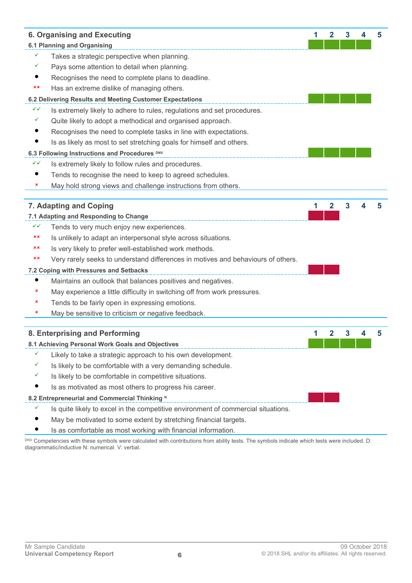|           | 6. Organising and Executing                                                       | 1 | $\mathbf{2}$ | 3  |                  | 5 |
|-----------|-----------------------------------------------------------------------------------|---|--------------|----|------------------|---|
|           | <b>6.1 Planning and Organising</b>                                                |   |              |    |                  |   |
| ✓         | Takes a strategic perspective when planning.                                      |   |              |    |                  |   |
| ✓         | Pays some attention to detail when planning.                                      |   |              |    |                  |   |
| $\bullet$ | Recognises the need to complete plans to deadline.                                |   |              |    |                  |   |
| ××        | Has an extreme dislike of managing others.                                        |   |              |    |                  |   |
|           | 6.2 Delivering Results and Meeting Customer Expectations                          |   |              |    |                  |   |
| ✓✓        | Is extremely likely to adhere to rules, regulations and set procedures.           |   |              |    |                  |   |
| ✓         | Quite likely to adopt a methodical and organised approach.                        |   |              |    |                  |   |
|           | Recognises the need to complete tasks in line with expectations.                  |   |              |    |                  |   |
| $\bullet$ | Is as likely as most to set stretching goals for himself and others.              |   |              |    |                  |   |
|           | 6.3 Following Instructions and Procedures DNV                                     |   |              |    |                  |   |
| ✓✓        | Is extremely likely to follow rules and procedures.                               |   |              |    |                  |   |
|           | Tends to recognise the need to keep to agreed schedules.                          |   |              |    |                  |   |
| ×         | May hold strong views and challenge instructions from others.                     |   |              |    |                  |   |
|           |                                                                                   |   |              |    |                  |   |
|           | 7. Adapting and Coping                                                            | 1 | 2            | 3  |                  | 5 |
|           | 7.1 Adapting and Responding to Change                                             |   |              |    |                  |   |
| ✓✓        | Tends to very much enjoy new experiences.                                         |   |              |    |                  |   |
| ××        | Is unlikely to adapt an interpersonal style across situations.                    |   |              |    |                  |   |
| ××        | Is very likely to prefer well-established work methods.                           |   |              |    |                  |   |
| ××        | Very rarely seeks to understand differences in motives and behaviours of others.  |   |              |    |                  |   |
|           | 7.2 Coping with Pressures and Setbacks                                            |   |              |    |                  |   |
| $\bullet$ | Maintains an outlook that balances positives and negatives.                       |   |              |    |                  |   |
| ×         | May experience a little difficulty in switching off from work pressures.          |   |              |    |                  |   |
| ×         | Tends to be fairly open in expressing emotions.                                   |   |              |    |                  |   |
| ×         | May be sensitive to criticism or negative feedback.                               |   |              |    |                  |   |
|           |                                                                                   |   |              |    |                  |   |
|           | 8. Enterprising and Performing                                                    | 1 | $\mathbf{2}$ | 3. | $\boldsymbol{A}$ |   |
|           | 8.1 Achieving Personal Work Goals and Objectives                                  |   |              |    |                  |   |
| ✓         | Likely to take a strategic approach to his own development.                       |   |              |    |                  |   |
|           | Is likely to be comfortable with a very demanding schedule.                       |   |              |    |                  |   |
| ✓         | Is likely to be comfortable in competitive situations.                            |   |              |    |                  |   |
|           | Is as motivated as most others to progress his career.                            |   |              |    |                  |   |
|           | 8.2 Entrepreneurial and Commercial Thinking N                                     |   |              |    |                  |   |
| ✓         | Is quite likely to excel in the competitive environment of commercial situations. |   |              |    |                  |   |
|           | May be motivated to some extent by stretching financial targets.                  |   |              |    |                  |   |
|           | Is as comfortable as most working with financial information.                     |   |              |    |                  |   |

DNV Competencies with these symbols were calculated with contributions from ability tests. The symbols indicate which tests were included. D: diagrammatic/inductive N: numerical. V: verbal.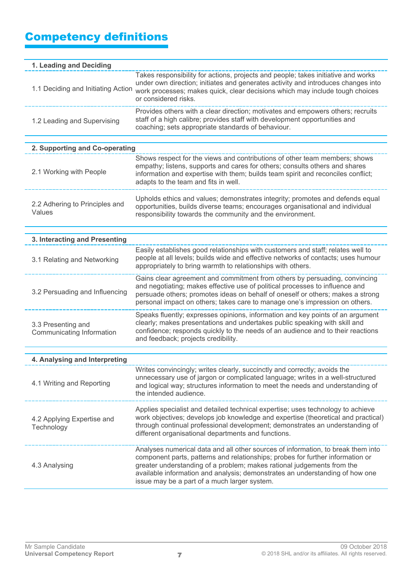# Competency definitions

| 1. Leading and Deciding                         |                                                                                                                                                                                                                                                                                                                                                                              |
|-------------------------------------------------|------------------------------------------------------------------------------------------------------------------------------------------------------------------------------------------------------------------------------------------------------------------------------------------------------------------------------------------------------------------------------|
| 1.1 Deciding and Initiating Action              | Takes responsibility for actions, projects and people; takes initiative and works<br>under own direction; initiates and generates activity and introduces changes into<br>work processes; makes quick, clear decisions which may include tough choices<br>or considered risks.                                                                                               |
| 1.2 Leading and Supervising                     | Provides others with a clear direction; motivates and empowers others; recruits<br>staff of a high calibre; provides staff with development opportunities and<br>coaching; sets appropriate standards of behaviour.                                                                                                                                                          |
| 2. Supporting and Co-operating                  |                                                                                                                                                                                                                                                                                                                                                                              |
| 2.1 Working with People                         | Shows respect for the views and contributions of other team members; shows<br>empathy; listens, supports and cares for others; consults others and shares<br>information and expertise with them; builds team spirit and reconciles conflict;<br>adapts to the team and fits in well.                                                                                        |
| 2.2 Adhering to Principles and<br>Values        | Upholds ethics and values; demonstrates integrity; promotes and defends equal<br>opportunities, builds diverse teams; encourages organisational and individual<br>responsibility towards the community and the environment.                                                                                                                                                  |
| 3. Interacting and Presenting                   |                                                                                                                                                                                                                                                                                                                                                                              |
| 3.1 Relating and Networking                     | Easily establishes good relationships with customers and staff; relates well to<br>people at all levels; builds wide and effective networks of contacts; uses humour<br>appropriately to bring warmth to relationships with others.                                                                                                                                          |
| 3.2 Persuading and Influencing                  | Gains clear agreement and commitment from others by persuading, convincing<br>and negotiating; makes effective use of political processes to influence and<br>persuade others; promotes ideas on behalf of oneself or others; makes a strong<br>personal impact on others; takes care to manage one's impression on others.                                                  |
| 3.3 Presenting and<br>Communicating Information | Speaks fluently; expresses opinions, information and key points of an argument<br>clearly; makes presentations and undertakes public speaking with skill and<br>confidence; responds quickly to the needs of an audience and to their reactions<br>and feedback; projects credibility.                                                                                       |
| 4. Analysing and Interpreting                   |                                                                                                                                                                                                                                                                                                                                                                              |
| 4.1 Writing and Reporting                       | Writes convincingly; writes clearly, succinctly and correctly; avoids the<br>unnecessary use of jargon or complicated language; writes in a well-structured<br>and logical way; structures information to meet the needs and understanding of<br>the intended audience.                                                                                                      |
| 4.2 Applying Expertise and<br>Technology        | Applies specialist and detailed technical expertise; uses technology to achieve<br>work objectives; develops job knowledge and expertise (theoretical and practical)<br>through continual professional development; demonstrates an understanding of<br>different organisational departments and functions.                                                                  |
| 4.3 Analysing                                   | Analyses numerical data and all other sources of information, to break them into<br>component parts, patterns and relationships; probes for further information or<br>greater understanding of a problem; makes rational judgements from the<br>available information and analysis; demonstrates an understanding of how one<br>issue may be a part of a much larger system. |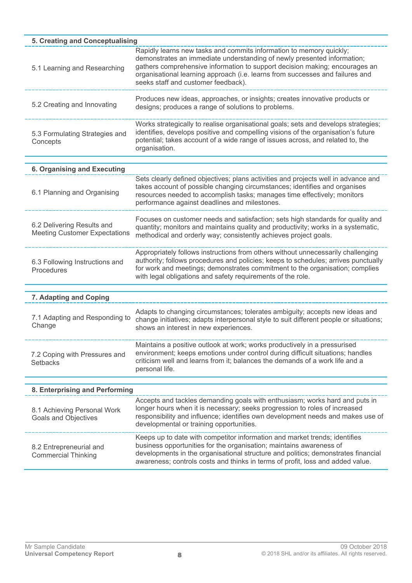| 5. Creating and Conceptualising                                    |                                                                                                                                                                                                                                                                                                                                                       |
|--------------------------------------------------------------------|-------------------------------------------------------------------------------------------------------------------------------------------------------------------------------------------------------------------------------------------------------------------------------------------------------------------------------------------------------|
| 5.1 Learning and Researching                                       | Rapidly learns new tasks and commits information to memory quickly;<br>demonstrates an immediate understanding of newly presented information;<br>gathers comprehensive information to support decision making; encourages an<br>organisational learning approach (i.e. learns from successes and failures and<br>seeks staff and customer feedback). |
| 5.2 Creating and Innovating                                        | Produces new ideas, approaches, or insights; creates innovative products or<br>designs; produces a range of solutions to problems.                                                                                                                                                                                                                    |
| 5.3 Formulating Strategies and<br>Concepts                         | Works strategically to realise organisational goals; sets and develops strategies;<br>identifies, develops positive and compelling visions of the organisation's future<br>potential; takes account of a wide range of issues across, and related to, the<br>organisation.                                                                            |
| <b>6. Organising and Executing</b>                                 |                                                                                                                                                                                                                                                                                                                                                       |
| 6.1 Planning and Organising                                        | Sets clearly defined objectives; plans activities and projects well in advance and<br>takes account of possible changing circumstances; identifies and organises<br>resources needed to accomplish tasks; manages time effectively; monitors<br>performance against deadlines and milestones.                                                         |
| 6.2 Delivering Results and<br><b>Meeting Customer Expectations</b> | Focuses on customer needs and satisfaction; sets high standards for quality and<br>quantity; monitors and maintains quality and productivity; works in a systematic,<br>methodical and orderly way; consistently achieves project goals.                                                                                                              |
| 6.3 Following Instructions and<br>Procedures                       | Appropriately follows instructions from others without unnecessarily challenging<br>authority; follows procedures and policies; keeps to schedules; arrives punctually<br>for work and meetings; demonstrates commitment to the organisation; complies<br>with legal obligations and safety requirements of the role.                                 |
| 7. Adapting and Coping                                             |                                                                                                                                                                                                                                                                                                                                                       |
| 7.1 Adapting and Responding to<br>Change                           | Adapts to changing circumstances; tolerates ambiguity; accepts new ideas and<br>change initiatives; adapts interpersonal style to suit different people or situations;<br>shows an interest in new experiences.                                                                                                                                       |
| 7.2 Coping with Pressures and<br><b>Setbacks</b>                   | Maintains a positive outlook at work; works productively in a pressurised<br>environment; keeps emotions under control during difficult situations; handles<br>criticism well and learns from it; balances the demands of a work life and a<br>personal life.                                                                                         |
| 8. Enterprising and Performing                                     |                                                                                                                                                                                                                                                                                                                                                       |
| 8.1 Achieving Personal Work<br><b>Goals and Objectives</b>         | Accepts and tackles demanding goals with enthusiasm; works hard and puts in<br>longer hours when it is necessary; seeks progression to roles of increased<br>responsibility and influence; identifies own development needs and makes use of<br>developmental or training opportunities.                                                              |
| 8.2 Entrepreneurial and<br><b>Commercial Thinking</b>              | Keeps up to date with competitor information and market trends; identifies<br>business opportunities for the organisation; maintains awareness of<br>developments in the organisational structure and politics; demonstrates financial<br>awareness; controls costs and thinks in terms of profit, loss and added value.                              |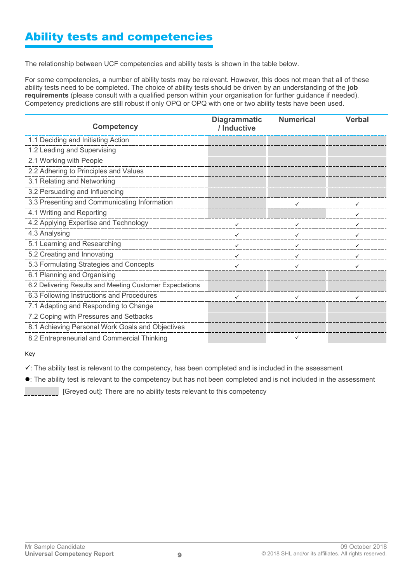# Ability tests and competencies

The relationship between UCF competencies and ability tests is shown in the table below.

For some competencies, a number of ability tests may be relevant. However, this does not mean that all of these ability tests need to be completed. The choice of ability tests should be driven by an understanding of the **job requirements** (please consult with a qualified person within your organisation for further guidance if needed). Competency predictions are still robust if only OPQ or OPQ with one or two ability tests have been used.

| <b>Competency</b>                                        | <b>Diagrammatic</b><br>/ Inductive | <b>Numerical</b> | <b>Verbal</b> |
|----------------------------------------------------------|------------------------------------|------------------|---------------|
| 1.1 Deciding and Initiating Action                       |                                    |                  |               |
| 1.2 Leading and Supervising                              |                                    |                  |               |
| 2.1 Working with People                                  |                                    |                  |               |
| 2.2 Adhering to Principles and Values                    |                                    |                  |               |
| 3.1 Relating and Networking                              |                                    |                  |               |
| 3.2 Persuading and Influencing                           |                                    |                  |               |
| 3.3 Presenting and Communicating Information             |                                    |                  |               |
| 4.1 Writing and Reporting                                |                                    |                  |               |
| 4.2 Applying Expertise and Technology                    | $\checkmark$                       | $\checkmark$     |               |
| 4.3 Analysing<br>______________________                  | $\checkmark$                       | ✓                |               |
| 5.1 Learning and Researching                             | ✓                                  |                  |               |
| 5.2 Creating and Innovating                              | $\checkmark$                       | $\checkmark$     |               |
| 5.3 Formulating Strategies and Concepts                  | $\checkmark$                       | $\checkmark$     |               |
| 6.1 Planning and Organising                              |                                    |                  |               |
| 6.2 Delivering Results and Meeting Customer Expectations |                                    |                  |               |
| 6.3 Following Instructions and Procedures                | $\checkmark$                       |                  |               |
| 7.1 Adapting and Responding to Change                    |                                    |                  |               |
| 7.2 Coping with Pressures and Setbacks                   |                                    |                  |               |
| 8.1 Achieving Personal Work Goals and Objectives         |                                    |                  |               |
| 8.2 Entrepreneurial and Commercial Thinking              |                                    | $\checkmark$     |               |

Key

 $\checkmark$ : The ability test is relevant to the competency, has been completed and is included in the assessment

: The ability test is relevant to the competency but has not been completed and is not included in the assessment

[Greyed out]: There are no ability tests relevant to this competency